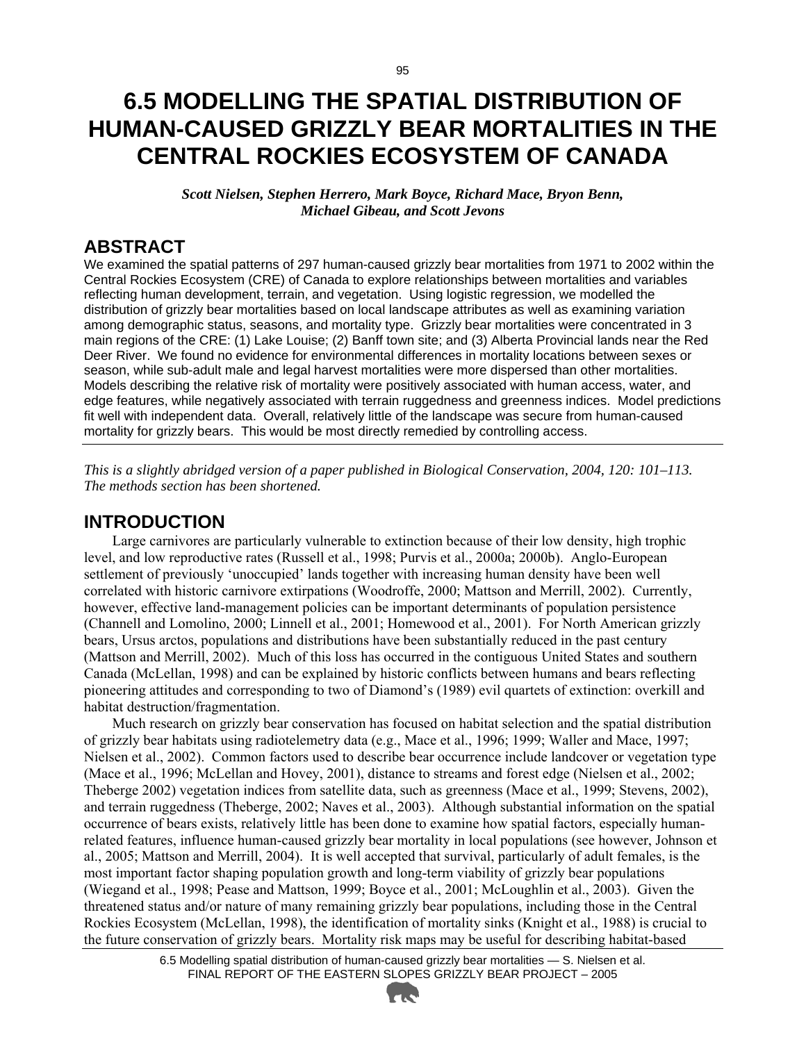# **6.5 MODELLING THE SPATIAL DISTRIBUTION OF HUMAN-CAUSED GRIZZLY BEAR MORTALITIES IN THE CENTRAL ROCKIES ECOSYSTEM OF CANADA**

*Scott Nielsen, Stephen Herrero, Mark Boyce, Richard Mace, Bryon Benn, Michael Gibeau, and Scott Jevons* 

# **ABSTRACT**

We examined the spatial patterns of 297 human-caused grizzly bear mortalities from 1971 to 2002 within the Central Rockies Ecosystem (CRE) of Canada to explore relationships between mortalities and variables reflecting human development, terrain, and vegetation. Using logistic regression, we modelled the distribution of grizzly bear mortalities based on local landscape attributes as well as examining variation among demographic status, seasons, and mortality type. Grizzly bear mortalities were concentrated in 3 main regions of the CRE: (1) Lake Louise; (2) Banff town site; and (3) Alberta Provincial lands near the Red Deer River. We found no evidence for environmental differences in mortality locations between sexes or season, while sub-adult male and legal harvest mortalities were more dispersed than other mortalities. Models describing the relative risk of mortality were positively associated with human access, water, and edge features, while negatively associated with terrain ruggedness and greenness indices. Model predictions fit well with independent data. Overall, relatively little of the landscape was secure from human-caused mortality for grizzly bears. This would be most directly remedied by controlling access.

*This is a slightly abridged version of a paper published in Biological Conservation, 2004, 120: 101–113. The methods section has been shortened.* 

### **INTRODUCTION**

Large carnivores are particularly vulnerable to extinction because of their low density, high trophic level, and low reproductive rates (Russell et al., 1998; Purvis et al., 2000a; 2000b). Anglo-European settlement of previously 'unoccupied' lands together with increasing human density have been well correlated with historic carnivore extirpations (Woodroffe, 2000; Mattson and Merrill, 2002). Currently, however, effective land-management policies can be important determinants of population persistence (Channell and Lomolino, 2000; Linnell et al., 2001; Homewood et al., 2001). For North American grizzly bears, Ursus arctos, populations and distributions have been substantially reduced in the past century (Mattson and Merrill, 2002). Much of this loss has occurred in the contiguous United States and southern Canada (McLellan, 1998) and can be explained by historic conflicts between humans and bears reflecting pioneering attitudes and corresponding to two of Diamond's (1989) evil quartets of extinction: overkill and habitat destruction/fragmentation.

Much research on grizzly bear conservation has focused on habitat selection and the spatial distribution of grizzly bear habitats using radiotelemetry data (e.g., Mace et al., 1996; 1999; Waller and Mace, 1997; Nielsen et al., 2002). Common factors used to describe bear occurrence include landcover or vegetation type (Mace et al., 1996; McLellan and Hovey, 2001), distance to streams and forest edge (Nielsen et al., 2002; Theberge 2002) vegetation indices from satellite data, such as greenness (Mace et al., 1999; Stevens, 2002), and terrain ruggedness (Theberge, 2002; Naves et al., 2003). Although substantial information on the spatial occurrence of bears exists, relatively little has been done to examine how spatial factors, especially humanrelated features, influence human-caused grizzly bear mortality in local populations (see however, Johnson et al., 2005; Mattson and Merrill, 2004). It is well accepted that survival, particularly of adult females, is the most important factor shaping population growth and long-term viability of grizzly bear populations (Wiegand et al., 1998; Pease and Mattson, 1999; Boyce et al., 2001; McLoughlin et al., 2003). Given the threatened status and/or nature of many remaining grizzly bear populations, including those in the Central Rockies Ecosystem (McLellan, 1998), the identification of mortality sinks (Knight et al., 1988) is crucial to the future conservation of grizzly bears. Mortality risk maps may be useful for describing habitat-based

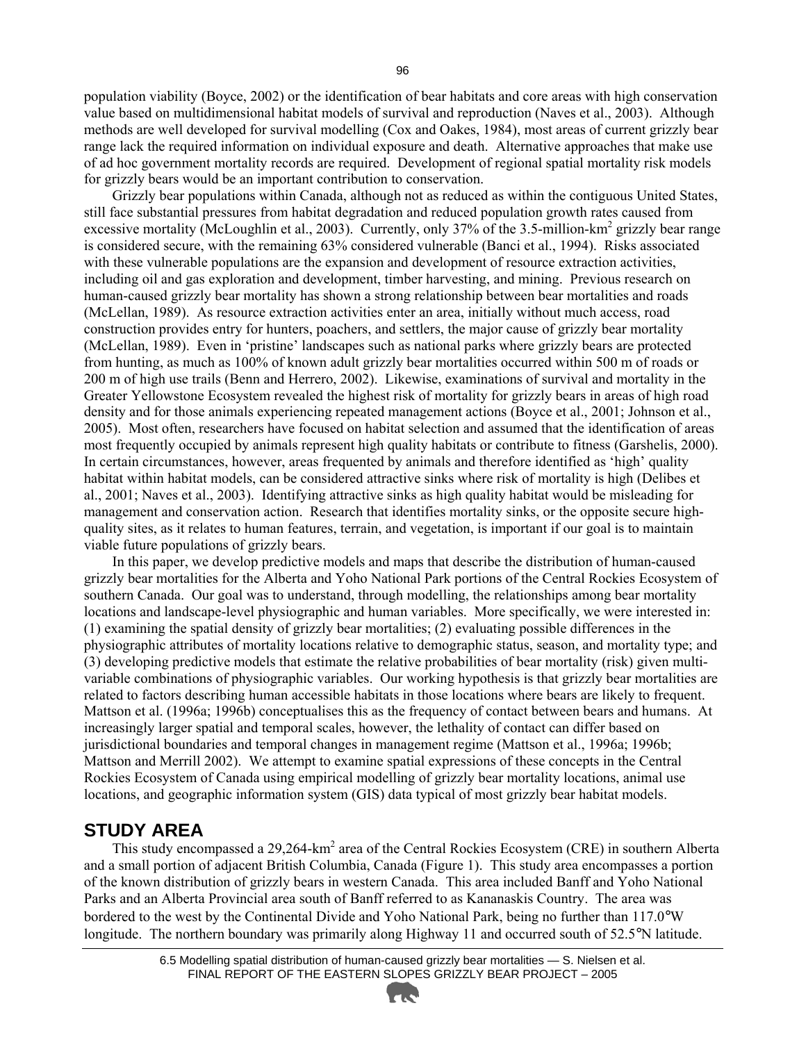population viability (Boyce, 2002) or the identification of bear habitats and core areas with high conservation value based on multidimensional habitat models of survival and reproduction (Naves et al., 2003). Although methods are well developed for survival modelling (Cox and Oakes, 1984), most areas of current grizzly bear range lack the required information on individual exposure and death. Alternative approaches that make use of ad hoc government mortality records are required. Development of regional spatial mortality risk models for grizzly bears would be an important contribution to conservation.

Grizzly bear populations within Canada, although not as reduced as within the contiguous United States, still face substantial pressures from habitat degradation and reduced population growth rates caused from excessive mortality (McLoughlin et al., 2003). Currently, only 37% of the 3.5-million-km<sup>2</sup> grizzly bear range is considered secure, with the remaining 63% considered vulnerable (Banci et al., 1994). Risks associated with these vulnerable populations are the expansion and development of resource extraction activities, including oil and gas exploration and development, timber harvesting, and mining. Previous research on human-caused grizzly bear mortality has shown a strong relationship between bear mortalities and roads (McLellan, 1989). As resource extraction activities enter an area, initially without much access, road construction provides entry for hunters, poachers, and settlers, the major cause of grizzly bear mortality (McLellan, 1989). Even in 'pristine' landscapes such as national parks where grizzly bears are protected from hunting, as much as 100% of known adult grizzly bear mortalities occurred within 500 m of roads or 200 m of high use trails (Benn and Herrero, 2002). Likewise, examinations of survival and mortality in the Greater Yellowstone Ecosystem revealed the highest risk of mortality for grizzly bears in areas of high road density and for those animals experiencing repeated management actions (Boyce et al., 2001; Johnson et al., 2005). Most often, researchers have focused on habitat selection and assumed that the identification of areas most frequently occupied by animals represent high quality habitats or contribute to fitness (Garshelis, 2000). In certain circumstances, however, areas frequented by animals and therefore identified as 'high' quality habitat within habitat models, can be considered attractive sinks where risk of mortality is high (Delibes et al., 2001; Naves et al., 2003). Identifying attractive sinks as high quality habitat would be misleading for management and conservation action. Research that identifies mortality sinks, or the opposite secure highquality sites, as it relates to human features, terrain, and vegetation, is important if our goal is to maintain viable future populations of grizzly bears.

In this paper, we develop predictive models and maps that describe the distribution of human-caused grizzly bear mortalities for the Alberta and Yoho National Park portions of the Central Rockies Ecosystem of southern Canada. Our goal was to understand, through modelling, the relationships among bear mortality locations and landscape-level physiographic and human variables. More specifically, we were interested in: (1) examining the spatial density of grizzly bear mortalities; (2) evaluating possible differences in the physiographic attributes of mortality locations relative to demographic status, season, and mortality type; and (3) developing predictive models that estimate the relative probabilities of bear mortality (risk) given multivariable combinations of physiographic variables. Our working hypothesis is that grizzly bear mortalities are related to factors describing human accessible habitats in those locations where bears are likely to frequent. Mattson et al. (1996a; 1996b) conceptualises this as the frequency of contact between bears and humans. At increasingly larger spatial and temporal scales, however, the lethality of contact can differ based on jurisdictional boundaries and temporal changes in management regime (Mattson et al., 1996a; 1996b; Mattson and Merrill 2002). We attempt to examine spatial expressions of these concepts in the Central Rockies Ecosystem of Canada using empirical modelling of grizzly bear mortality locations, animal use locations, and geographic information system (GIS) data typical of most grizzly bear habitat models.

# **STUDY AREA**

This study encompassed a 29,264-km<sup>2</sup> area of the Central Rockies Ecosystem (CRE) in southern Alberta and a small portion of adjacent British Columbia, Canada (Figure 1). This study area encompasses a portion of the known distribution of grizzly bears in western Canada. This area included Banff and Yoho National Parks and an Alberta Provincial area south of Banff referred to as Kananaskis Country. The area was bordered to the west by the Continental Divide and Yoho National Park, being no further than 117.0°W longitude. The northern boundary was primarily along Highway 11 and occurred south of 52.5°N latitude.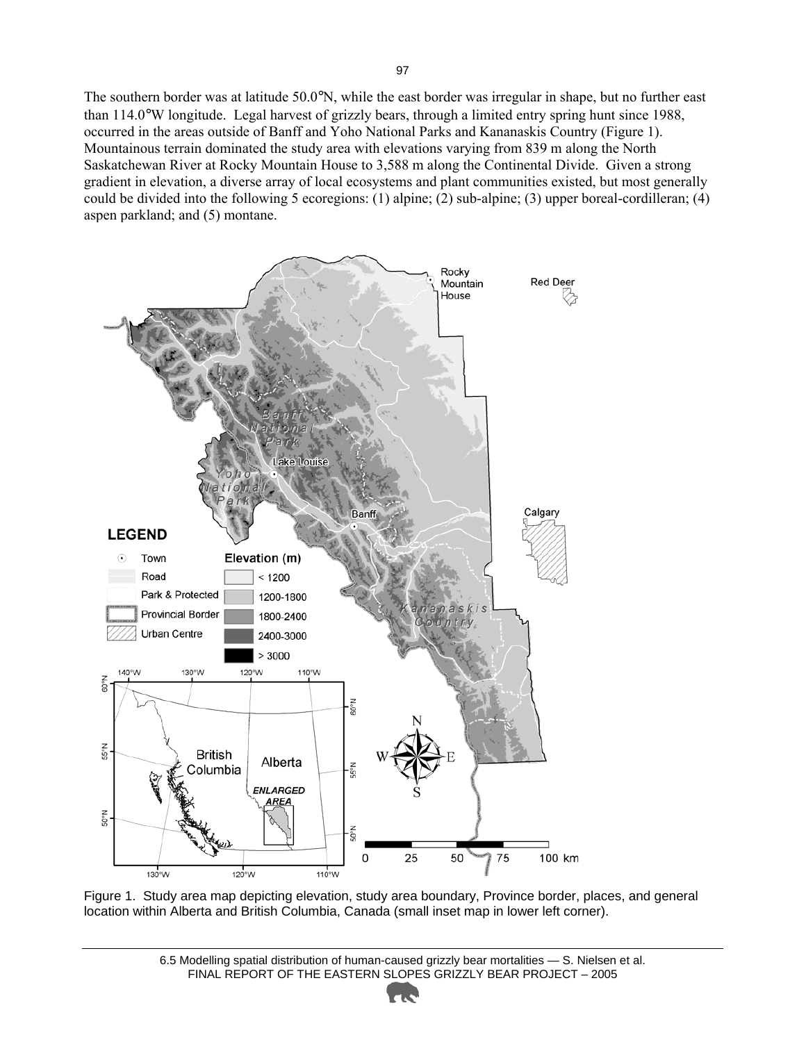The southern border was at latitude 50.0°N, while the east border was irregular in shape, but no further east than 114.0°W longitude. Legal harvest of grizzly bears, through a limited entry spring hunt since 1988, occurred in the areas outside of Banff and Yoho National Parks and Kananaskis Country (Figure 1). Mountainous terrain dominated the study area with elevations varying from 839 m along the North Saskatchewan River at Rocky Mountain House to 3,588 m along the Continental Divide. Given a strong gradient in elevation, a diverse array of local ecosystems and plant communities existed, but most generally could be divided into the following 5 ecoregions: (1) alpine; (2) sub-alpine; (3) upper boreal-cordilleran; (4) aspen parkland; and (5) montane.



Figure 1. Study area map depicting elevation, study area boundary, Province border, places, and general location within Alberta and British Columbia, Canada (small inset map in lower left corner).

> 6.5 Modelling spatial distribution of human-caused grizzly bear mortalities — S. Nielsen et al. FINAL REPORT OF THE EASTERN SLOPES GRIZZLY BEAR PROJECT – 2005

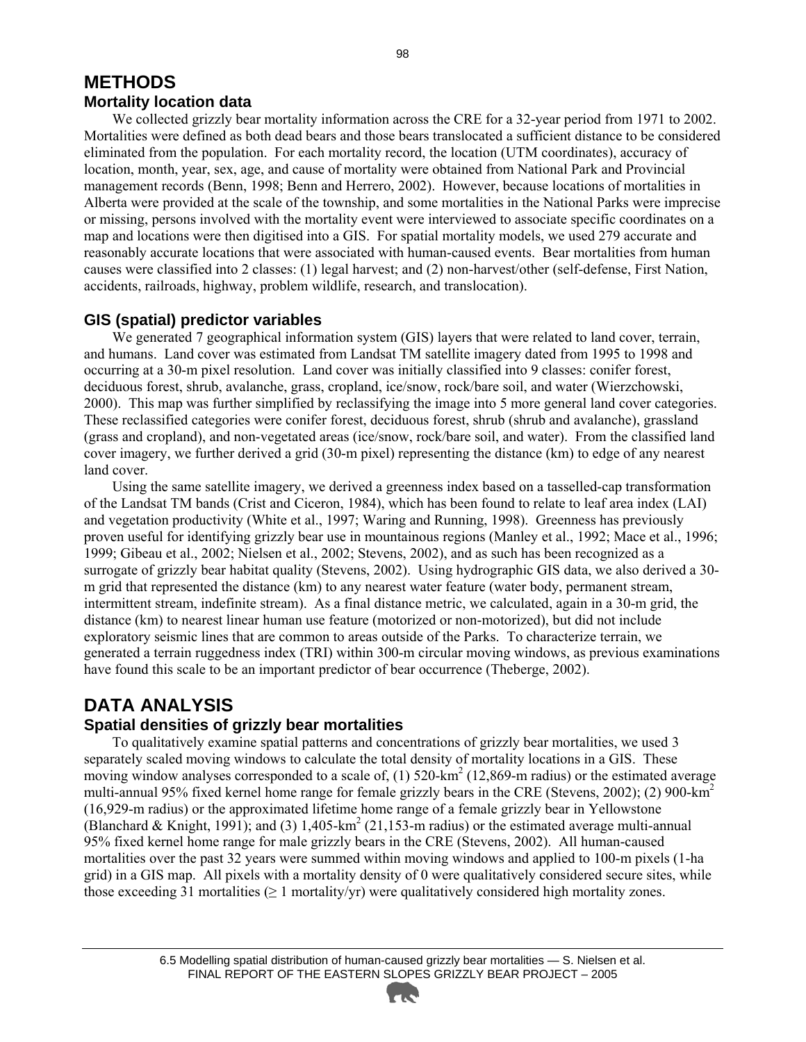### **METHODS Mortality location data**

We collected grizzly bear mortality information across the CRE for a 32-year period from 1971 to 2002. Mortalities were defined as both dead bears and those bears translocated a sufficient distance to be considered eliminated from the population. For each mortality record, the location (UTM coordinates), accuracy of location, month, year, sex, age, and cause of mortality were obtained from National Park and Provincial management records (Benn, 1998; Benn and Herrero, 2002). However, because locations of mortalities in Alberta were provided at the scale of the township, and some mortalities in the National Parks were imprecise or missing, persons involved with the mortality event were interviewed to associate specific coordinates on a map and locations were then digitised into a GIS. For spatial mortality models, we used 279 accurate and reasonably accurate locations that were associated with human-caused events. Bear mortalities from human causes were classified into 2 classes: (1) legal harvest; and (2) non-harvest/other (self-defense, First Nation, accidents, railroads, highway, problem wildlife, research, and translocation).

### **GIS (spatial) predictor variables**

We generated 7 geographical information system (GIS) layers that were related to land cover, terrain, and humans. Land cover was estimated from Landsat TM satellite imagery dated from 1995 to 1998 and occurring at a 30-m pixel resolution. Land cover was initially classified into 9 classes: conifer forest, deciduous forest, shrub, avalanche, grass, cropland, ice/snow, rock/bare soil, and water (Wierzchowski, 2000). This map was further simplified by reclassifying the image into 5 more general land cover categories. These reclassified categories were conifer forest, deciduous forest, shrub (shrub and avalanche), grassland (grass and cropland), and non-vegetated areas (ice/snow, rock/bare soil, and water). From the classified land cover imagery, we further derived a grid (30-m pixel) representing the distance (km) to edge of any nearest land cover.

Using the same satellite imagery, we derived a greenness index based on a tasselled-cap transformation of the Landsat TM bands (Crist and Ciceron, 1984), which has been found to relate to leaf area index (LAI) and vegetation productivity (White et al., 1997; Waring and Running, 1998). Greenness has previously proven useful for identifying grizzly bear use in mountainous regions (Manley et al., 1992; Mace et al., 1996; 1999; Gibeau et al., 2002; Nielsen et al., 2002; Stevens, 2002), and as such has been recognized as a surrogate of grizzly bear habitat quality (Stevens, 2002). Using hydrographic GIS data, we also derived a 30 m grid that represented the distance (km) to any nearest water feature (water body, permanent stream, intermittent stream, indefinite stream). As a final distance metric, we calculated, again in a 30-m grid, the distance (km) to nearest linear human use feature (motorized or non-motorized), but did not include exploratory seismic lines that are common to areas outside of the Parks. To characterize terrain, we generated a terrain ruggedness index (TRI) within 300-m circular moving windows, as previous examinations have found this scale to be an important predictor of bear occurrence (Theberge, 2002).

# **DATA ANALYSIS**

### **Spatial densities of grizzly bear mortalities**

To qualitatively examine spatial patterns and concentrations of grizzly bear mortalities, we used 3 separately scaled moving windows to calculate the total density of mortality locations in a GIS. These moving window analyses corresponded to a scale of, (1)  $520\text{-}km^2$  (12,869-m radius) or the estimated average multi-annual 95% fixed kernel home range for female grizzly bears in the CRE (Stevens, 2002); (2) 900-km<sup>2</sup> (16,929-m radius) or the approximated lifetime home range of a female grizzly bear in Yellowstone (Blanchard & Knight, 1991); and (3) 1,405-km<sup>2</sup> (21,153-m radius) or the estimated average multi-annual 95% fixed kernel home range for male grizzly bears in the CRE (Stevens, 2002). All human-caused mortalities over the past 32 years were summed within moving windows and applied to 100-m pixels (1-ha grid) in a GIS map. All pixels with a mortality density of 0 were qualitatively considered secure sites, while those exceeding 31 mortalities  $(> 1 \text{ mortality/vr})$  were qualitatively considered high mortality zones.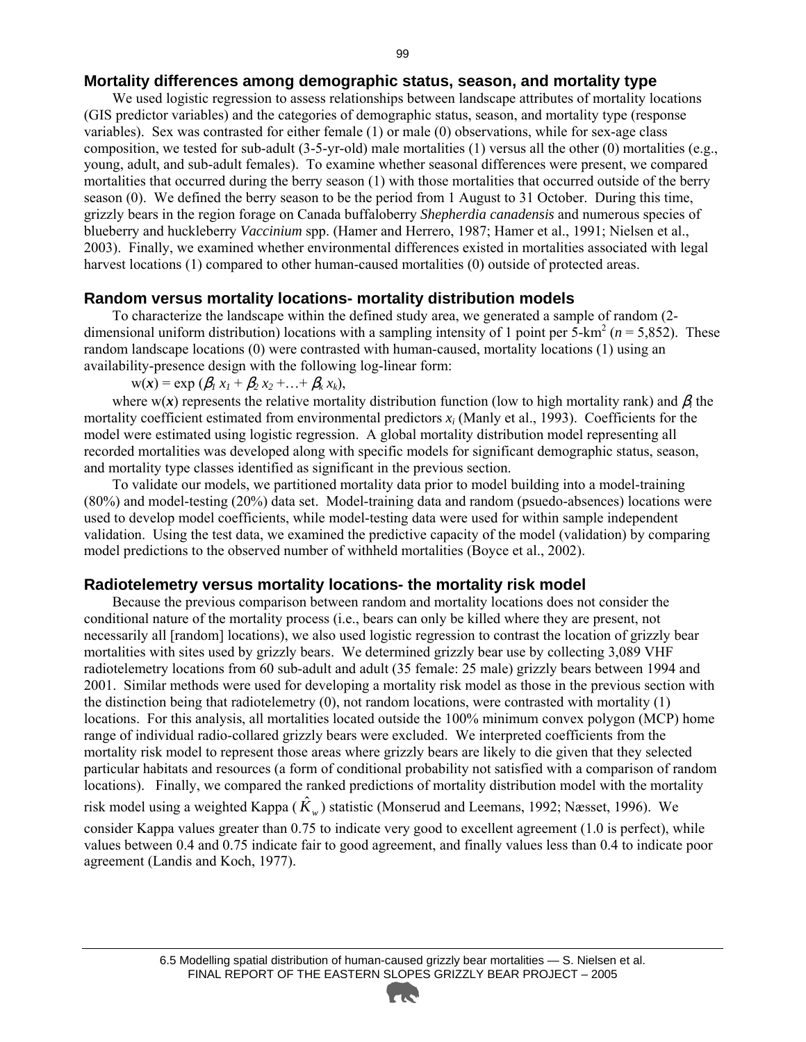#### **Mortality differences among demographic status, season, and mortality type**

We used logistic regression to assess relationships between landscape attributes of mortality locations (GIS predictor variables) and the categories of demographic status, season, and mortality type (response variables). Sex was contrasted for either female (1) or male (0) observations, while for sex-age class composition, we tested for sub-adult  $(3-5-yr-old)$  male mortalities  $(1)$  versus all the other  $(0)$  mortalities (e.g., young, adult, and sub-adult females). To examine whether seasonal differences were present, we compared mortalities that occurred during the berry season (1) with those mortalities that occurred outside of the berry season (0). We defined the berry season to be the period from 1 August to 31 October. During this time, grizzly bears in the region forage on Canada buffaloberry *Shepherdia canadensis* and numerous species of blueberry and huckleberry *Vaccinium* spp. (Hamer and Herrero, 1987; Hamer et al., 1991; Nielsen et al., 2003). Finally, we examined whether environmental differences existed in mortalities associated with legal harvest locations (1) compared to other human-caused mortalities (0) outside of protected areas.

#### **Random versus mortality locations- mortality distribution models**

To characterize the landscape within the defined study area, we generated a sample of random (2 dimensional uniform distribution) locations with a sampling intensity of 1 point per  $\overline{5}$ -km<sup>2</sup> ( $n = 5,852$ ). These random landscape locations (0) were contrasted with human-caused, mortality locations (1) using an availability-presence design with the following log-linear form:

 $w(x) = \exp (\beta_1 x_1 + \beta_2 x_2 + ... + \beta_k x_k),$ 

where  $w(x)$  represents the relative mortality distribution function (low to high mortality rank) and  $\beta_i$  the mortality coefficient estimated from environmental predictors *xi* (Manly et al., 1993). Coefficients for the model were estimated using logistic regression. A global mortality distribution model representing all recorded mortalities was developed along with specific models for significant demographic status, season, and mortality type classes identified as significant in the previous section.

To validate our models, we partitioned mortality data prior to model building into a model-training (80%) and model-testing (20%) data set. Model-training data and random (psuedo-absences) locations were used to develop model coefficients, while model-testing data were used for within sample independent validation. Using the test data, we examined the predictive capacity of the model (validation) by comparing model predictions to the observed number of withheld mortalities (Boyce et al., 2002).

#### **Radiotelemetry versus mortality locations- the mortality risk model**

Because the previous comparison between random and mortality locations does not consider the conditional nature of the mortality process (i.e., bears can only be killed where they are present, not necessarily all [random] locations), we also used logistic regression to contrast the location of grizzly bear mortalities with sites used by grizzly bears. We determined grizzly bear use by collecting 3,089 VHF radiotelemetry locations from 60 sub-adult and adult (35 female: 25 male) grizzly bears between 1994 and 2001. Similar methods were used for developing a mortality risk model as those in the previous section with the distinction being that radiotelemetry (0), not random locations, were contrasted with mortality (1) locations. For this analysis, all mortalities located outside the 100% minimum convex polygon (MCP) home range of individual radio-collared grizzly bears were excluded. We interpreted coefficients from the mortality risk model to represent those areas where grizzly bears are likely to die given that they selected particular habitats and resources (a form of conditional probability not satisfied with a comparison of random locations). Finally, we compared the ranked predictions of mortality distribution model with the mortality risk model using a weighted Kappa ( $\hat{K}_{w}$ ) statistic (Monserud and Leemans, 1992; Næsset, 1996). We consider Kappa values greater than 0.75 to indicate very good to excellent agreement (1.0 is perfect), while values between 0.4 and 0.75 indicate fair to good agreement, and finally values less than 0.4 to indicate poor agreement (Landis and Koch, 1977).

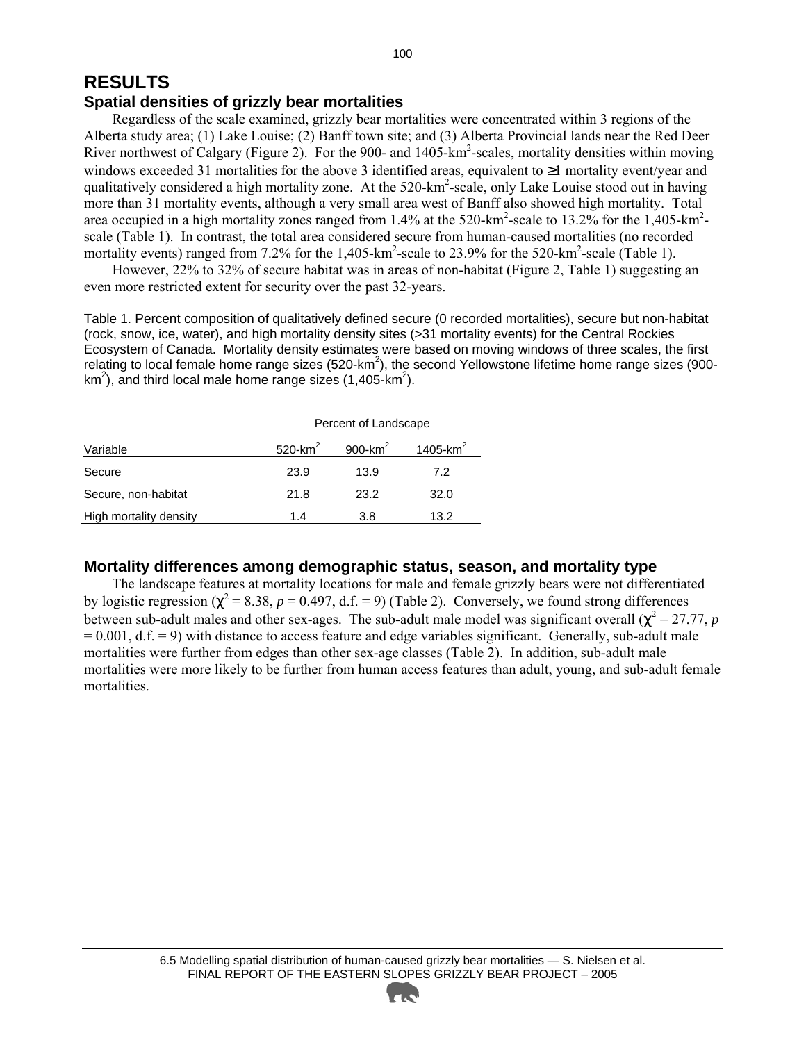## **RESULTS Spatial densities of grizzly bear mortalities**

Regardless of the scale examined, grizzly bear mortalities were concentrated within 3 regions of the Alberta study area; (1) Lake Louise; (2) Banff town site; and (3) Alberta Provincial lands near the Red Deer River northwest of Calgary (Figure 2). For the 900- and 1405-km<sup>2</sup>-scales, mortality densities within moving windows exceeded 31 mortalities for the above 3 identified areas, equivalent to ≥1 mortality event/year and qualitatively considered a high mortality zone. At the 520-km<sup>2</sup>-scale, only Lake Louise stood out in having more than 31 mortality events, although a very small area west of Banff also showed high mortality. Total area occupied in a high mortality zones ranged from 1.4% at the 520-km<sup>2</sup>-scale to 13.2% for the 1,405-km<sup>2</sup>scale (Table 1). In contrast, the total area considered secure from human-caused mortalities (no recorded mortality events) ranged from 7.2% for the  $1,405$ -km<sup>2</sup>-scale to 23.9% for the 520-km<sup>2</sup>-scale (Table 1).

However, 22% to 32% of secure habitat was in areas of non-habitat (Figure 2, Table 1) suggesting an even more restricted extent for security over the past 32-years.

Table 1. Percent composition of qualitatively defined secure (0 recorded mortalities), secure but non-habitat (rock, snow, ice, water), and high mortality density sites (>31 mortality events) for the Central Rockies Ecosystem of Canada. Mortality density estimates were based on moving windows of three scales, the first relating to local female home range sizes (520-km<sup>2</sup>), the second Yellowstone lifetime home range sizes (900 $km^2$ ), and third local male home range sizes (1,405-km<sup>2</sup>).

|                        | Percent of Landscape |            |                         |  |  |  |
|------------------------|----------------------|------------|-------------------------|--|--|--|
| Variable               | 520-km <sup>2</sup>  | 900- $km2$ | $1405$ -km <sup>2</sup> |  |  |  |
| Secure                 | 23.9                 | 13.9       | 7.2                     |  |  |  |
| Secure, non-habitat    | 21.8                 | 23.2       | 32.0                    |  |  |  |
| High mortality density | 1.4                  | 3.8        | 13.2                    |  |  |  |

#### **Mortality differences among demographic status, season, and mortality type**

The landscape features at mortality locations for male and female grizzly bears were not differentiated by logistic regression ( $\chi^2$  = 8.38, *p* = 0.497, d.f. = 9) (Table 2). Conversely, we found strong differences between sub-adult males and other sex-ages. The sub-adult male model was significant overall  $(\chi^2 = 27.77, p$  $= 0.001$ , d.f.  $= 9$ ) with distance to access feature and edge variables significant. Generally, sub-adult male mortalities were further from edges than other sex-age classes (Table 2). In addition, sub-adult male mortalities were more likely to be further from human access features than adult, young, and sub-adult female mortalities.

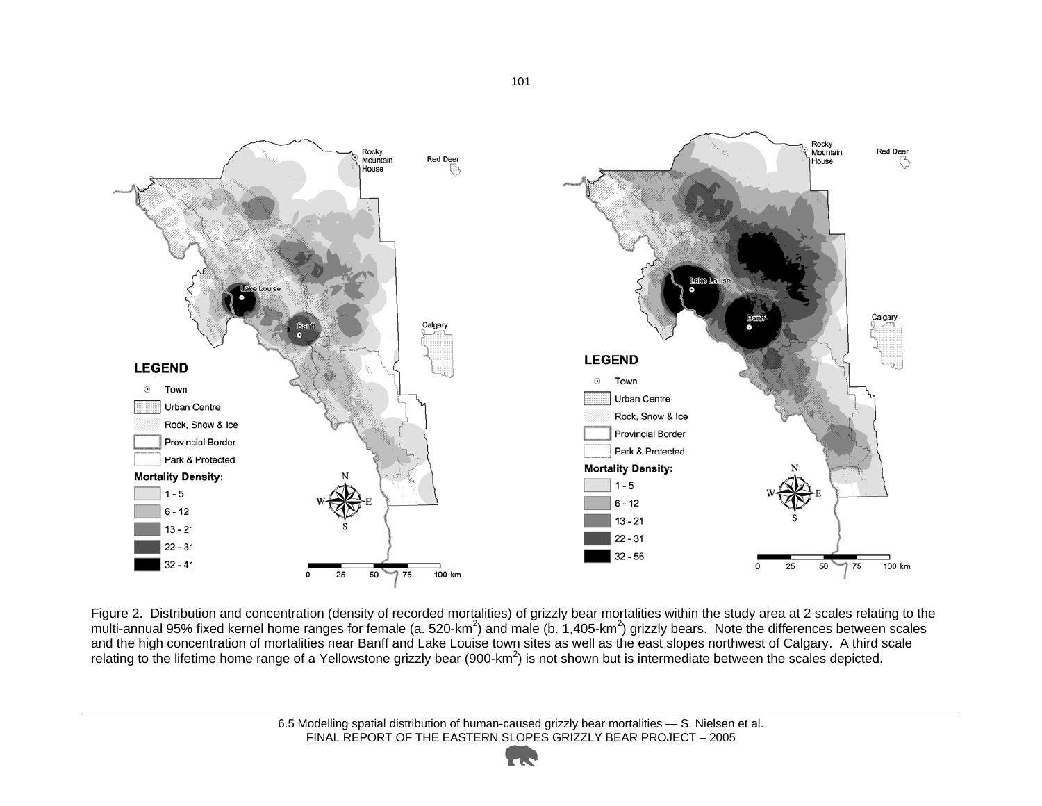

Figure 2. Distribution and concentration (density of recorded mortalities) of grizzly bear mortalities within the study area at 2 scales relating to the multi-annual 95% fixed kernel home ranges for female (a. 520-km<sup>2</sup>) and male (b. 1,405-km<sup>2</sup>) grizzly bears. Note the differences between scales and the high concentration of mortalities near Banff and Lake Louise town sites as well as the east slopes northwest of Calgary. A third scale relating to the lifetime home range of a Yellowstone grizzly bear (900-km<sup>2</sup>) is not shown but is intermediate between the scales depicted.

> 6.5 Modelling spatial distribution of human-caused grizzly bear mortalities — S. Nielsen et al. FINAL REPORT OF THE EASTERN SLOPES GRIZZLY BEAR PROJECT – 2005

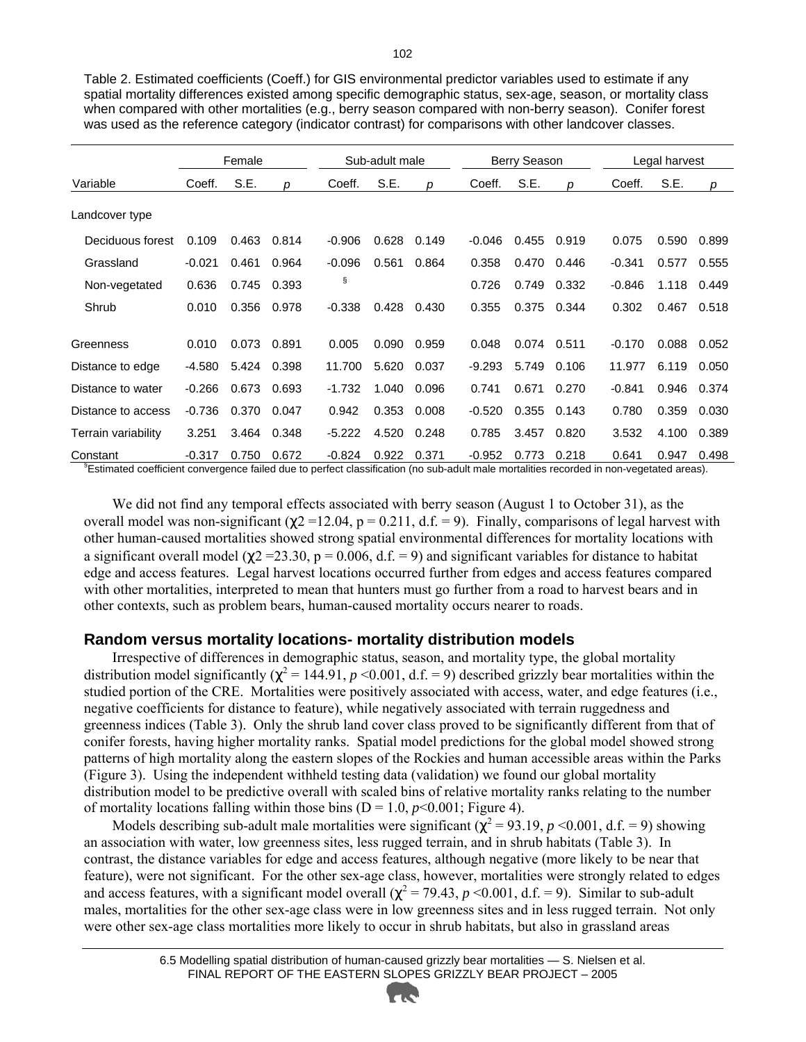Table 2. Estimated coefficients (Coeff.) for GIS environmental predictor variables used to estimate if any spatial mortality differences existed among specific demographic status, sex-age, season, or mortality class when compared with other mortalities (e.g., berry season compared with non-berry season). Conifer forest was used as the reference category (indicator contrast) for comparisons with other landcover classes.

|                     |          | Female |       |          | Sub-adult male |       |          | Berry Season |             |          | Legal harvest |       |  |
|---------------------|----------|--------|-------|----------|----------------|-------|----------|--------------|-------------|----------|---------------|-------|--|
| Variable            | Coeff.   | S.E.   | p     | Coeff.   | S.E.           | p     | Coeff.   | S.E.         | р           | Coeff.   | S.E.          | р     |  |
| Landcover type      |          |        |       |          |                |       |          |              |             |          |               |       |  |
| Deciduous forest    | 0.109    | 0.463  | 0.814 | $-0.906$ | 0.628          | 0.149 | $-0.046$ | 0.455        | 0.919       | 0.075    | 0.590         | 0.899 |  |
| Grassland           | $-0.021$ | 0.461  | 0.964 | $-0.096$ | 0.561          | 0.864 | 0.358    | 0.470        | 0.446       | $-0.341$ | 0.577         | 0.555 |  |
| Non-vegetated       | 0.636    | 0.745  | 0.393 | §        |                |       | 0.726    | 0.749        | 0.332       | $-0.846$ | 1.118         | 0.449 |  |
| Shrub               | 0.010    | 0.356  | 0.978 | $-0.338$ | 0.428          | 0.430 | 0.355    |              | 0.375 0.344 | 0.302    | 0.467         | 0.518 |  |
| Greenness           | 0.010    | 0.073  | 0.891 | 0.005    | 0.090          | 0.959 | 0.048    | 0.074        | 0.511       | $-0.170$ | 0.088         | 0.052 |  |
| Distance to edge    | $-4.580$ | 5.424  | 0.398 | 11.700   | 5.620          | 0.037 | $-9.293$ | 5.749        | 0.106       | 11.977   | 6.119         | 0.050 |  |
| Distance to water   | $-0.266$ | 0.673  | 0.693 | $-1.732$ | 1.040          | 0.096 | 0.741    | 0.671        | 0.270       | $-0.841$ | 0.946         | 0.374 |  |
| Distance to access  | $-0.736$ | 0.370  | 0.047 | 0.942    | 0.353          | 0.008 | $-0.520$ | 0.355        | 0.143       | 0.780    | 0.359         | 0.030 |  |
| Terrain variability | 3.251    | 3.464  | 0.348 | $-5.222$ | 4.520          | 0.248 | 0.785    | 3.457        | 0.820       | 3.532    | 4.100         | 0.389 |  |
| Constant            | $-0.317$ | 0.750  | 0.672 | $-0.824$ | 0.922          | 0.371 | $-0.952$ | 0.773        | 0.218       | 0.641    | 0.947         | 0.498 |  |

**§**Estimated coefficient convergence failed due to perfect classification (no sub-adult male mortalities recorded in non-vegetated areas).

We did not find any temporal effects associated with berry season (August 1 to October 31), as the overall model was non-significant ( $\chi$ 2 =12.04, p = 0.211, d.f. = 9). Finally, comparisons of legal harvest with other human-caused mortalities showed strong spatial environmental differences for mortality locations with a significant overall model ( $\chi$ 2 = 23.30, p = 0.006, d.f. = 9) and significant variables for distance to habitat edge and access features. Legal harvest locations occurred further from edges and access features compared with other mortalities, interpreted to mean that hunters must go further from a road to harvest bears and in other contexts, such as problem bears, human-caused mortality occurs nearer to roads.

#### **Random versus mortality locations- mortality distribution models**

Irrespective of differences in demographic status, season, and mortality type, the global mortality distribution model significantly ( $\chi^2$  = 144.91, *p* <0.001, d.f. = 9) described grizzly bear mortalities within the studied portion of the CRE. Mortalities were positively associated with access, water, and edge features (i.e., negative coefficients for distance to feature), while negatively associated with terrain ruggedness and greenness indices (Table 3). Only the shrub land cover class proved to be significantly different from that of conifer forests, having higher mortality ranks. Spatial model predictions for the global model showed strong patterns of high mortality along the eastern slopes of the Rockies and human accessible areas within the Parks (Figure 3). Using the independent withheld testing data (validation) we found our global mortality distribution model to be predictive overall with scaled bins of relative mortality ranks relating to the number of mortality locations falling within those bins  $(D = 1.0, p<0.001;$  Figure 4).

Models describing sub-adult male mortalities were significant ( $\chi^2$  = 93.19, *p* <0.001, d.f. = 9) showing an association with water, low greenness sites, less rugged terrain, and in shrub habitats (Table 3). In contrast, the distance variables for edge and access features, although negative (more likely to be near that feature), were not significant. For the other sex-age class, however, mortalities were strongly related to edges and access features, with a significant model overall  $(\chi^2 = 79.43, p \le 0.001, d.f. = 9)$ . Similar to sub-adult males, mortalities for the other sex-age class were in low greenness sites and in less rugged terrain. Not only were other sex-age class mortalities more likely to occur in shrub habitats, but also in grassland areas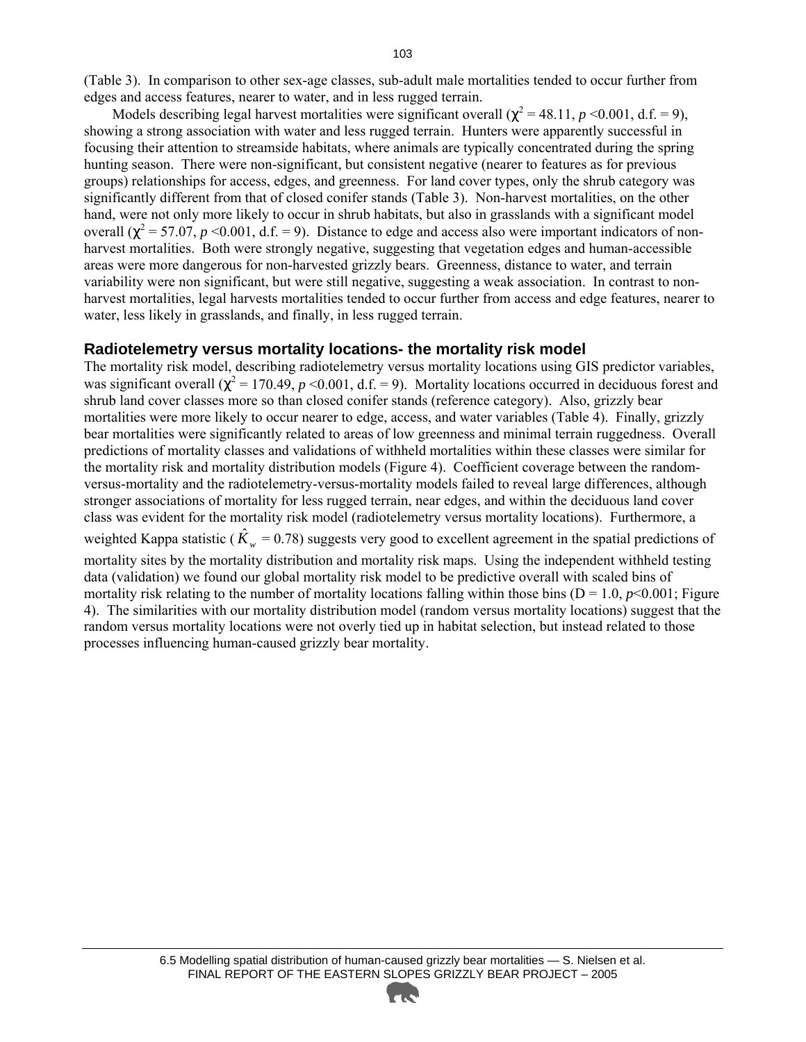(Table 3). In comparison to other sex-age classes, sub-adult male mortalities tended to occur further from edges and access features, nearer to water, and in less rugged terrain.

Models describing legal harvest mortalities were significant overall ( $\chi^2$  = 48.11, *p* <0.001, d.f. = 9), showing a strong association with water and less rugged terrain. Hunters were apparently successful in focusing their attention to streamside habitats, where animals are typically concentrated during the spring hunting season. There were non-significant, but consistent negative (nearer to features as for previous groups) relationships for access, edges, and greenness. For land cover types, only the shrub category was significantly different from that of closed conifer stands (Table 3). Non-harvest mortalities, on the other hand, were not only more likely to occur in shrub habitats, but also in grasslands with a significant model overall ( $\chi^2$  = 57.07, *p* <0.001, d.f. = 9). Distance to edge and access also were important indicators of nonharvest mortalities. Both were strongly negative, suggesting that vegetation edges and human-accessible areas were more dangerous for non-harvested grizzly bears. Greenness, distance to water, and terrain variability were non significant, but were still negative, suggesting a weak association. In contrast to nonharvest mortalities, legal harvests mortalities tended to occur further from access and edge features, nearer to water, less likely in grasslands, and finally, in less rugged terrain.

#### **Radiotelemetry versus mortality locations- the mortality risk model**

The mortality risk model, describing radiotelemetry versus mortality locations using GIS predictor variables, was significant overall  $\chi^2$  = 170.49, *p* <0.001, d.f. = 9). Mortality locations occurred in deciduous forest and shrub land cover classes more so than closed conifer stands (reference category). Also, grizzly bear mortalities were more likely to occur nearer to edge, access, and water variables (Table 4). Finally, grizzly bear mortalities were significantly related to areas of low greenness and minimal terrain ruggedness. Overall predictions of mortality classes and validations of withheld mortalities within these classes were similar for the mortality risk and mortality distribution models (Figure 4). Coefficient coverage between the randomversus-mortality and the radiotelemetry-versus-mortality models failed to reveal large differences, although stronger associations of mortality for less rugged terrain, near edges, and within the deciduous land cover class was evident for the mortality risk model (radiotelemetry versus mortality locations). Furthermore, a weighted Kappa statistic ( $\hat{K}_{w}$  = 0.78) suggests very good to excellent agreement in the spatial predictions of mortality sites by the mortality distribution and mortality risk maps. Using the independent withheld testing data (validation) we found our global mortality risk model to be predictive overall with scaled bins of mortality risk relating to the number of mortality locations falling within those bins ( $D = 1.0$ ,  $p < 0.001$ ; Figure 4). The similarities with our mortality distribution model (random versus mortality locations) suggest that the random versus mortality locations were not overly tied up in habitat selection, but instead related to those processes influencing human-caused grizzly bear mortality.

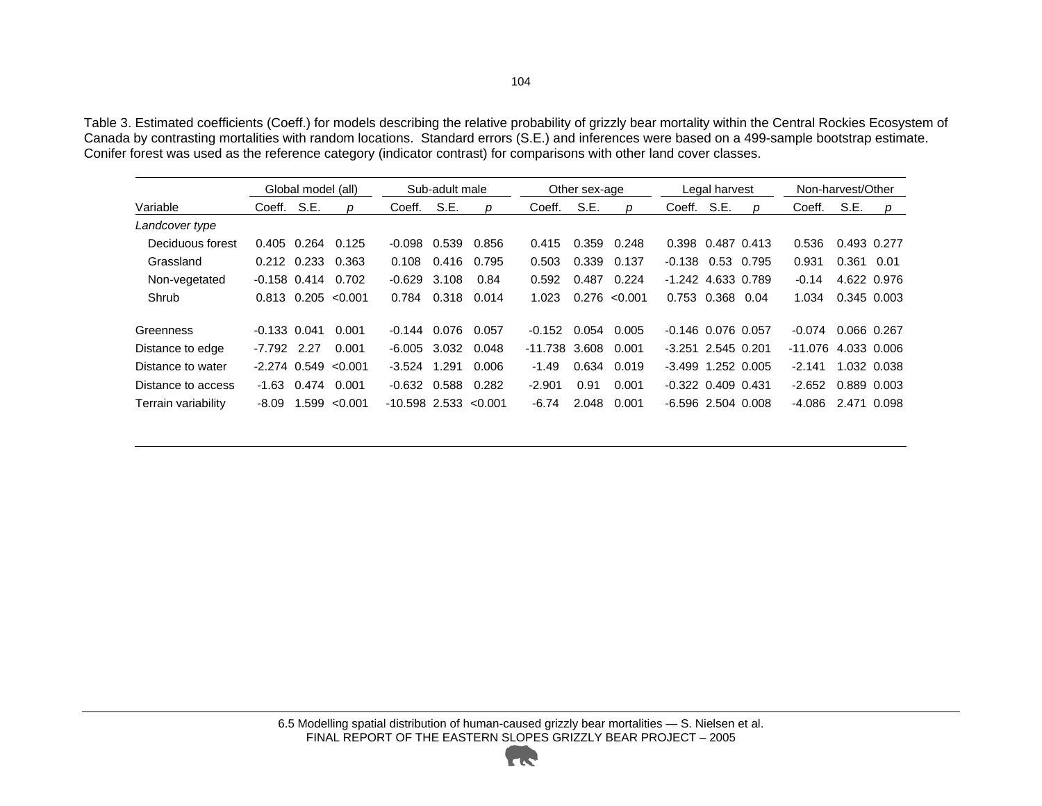Table 3. Estimated coefficients (Coeff.) for models describing the relative probability of grizzly bear mortality within the Central Rockies Ecosystem of Canada by contrasting mortalities with random locations. Standard errors (S.E.) and inferences were based on a 499-sample bootstrap estimate. Conifer forest was used as the reference category (indicator contrast) for comparisons with other land cover classes.

|                     |                  | Global model (all) |                           |                  | Sub-adult male |         |                 | Other sex-age |               |                          | Legal harvest |               | Non-harvest/Other     |       |             |
|---------------------|------------------|--------------------|---------------------------|------------------|----------------|---------|-----------------|---------------|---------------|--------------------------|---------------|---------------|-----------------------|-------|-------------|
| Variable            | Coeff. S.E.      |                    | D                         | Coeff.           | S.E.           | D       | Coeff.          | S.E.          | D             | Coeff. S.E.              |               | $\mathcal{D}$ | Coeff.                | S.E.  | p           |
| Landcover type      |                  |                    |                           |                  |                |         |                 |               |               |                          |               |               |                       |       |             |
| Deciduous forest    |                  | 0.405 0.264        | 0.125                     | $-0.098$         | 0.539          | 0.856   | 0.415           | 0.359         | 0.248         | 0.398                    |               | 0.487 0.413   | 0.536                 |       | 0.493 0.277 |
| Grassland           |                  | $0.212$ $0.233$    | 0.363                     | 0.108            | 0.416          | 0.795   | 0.503           | 0.339         | 0.137         | -0.138                   |               | 0.53 0.795    | 0.931                 | 0.361 | 0.01        |
| Non-vegetated       |                  | $-0.158$ 0.414     | 0.702                     | $-0.629$         | 3.108          | 0.84    | 0.592           | 0.487         | 0.224         | $-1.242$ 4.633 0.789     |               |               | $-0.14$               |       | 4.622 0.976 |
| Shrub               |                  |                    | $0.813$ $0.205$ < $0.001$ | 0.784            | 0.318          | 0.014   | 1.023           |               | 0.276 < 0.001 | 0.753 0.368 0.04         |               |               | 1.034                 |       | 0.345 0.003 |
| Greenness           | $-0.133$ $0.041$ |                    | 0.001                     | $-0.144$         | 0.076          | 0.057   | $-0.152$        | 0.054         | 0.005         | $-0.146$ $0.076$ $0.057$ |               |               | $-0.074$              |       | 0.066 0.267 |
| Distance to edge    | $-7.792$ 2.27    |                    | 0.001                     | -6.005           | 3.032          | 0.048   | $-11.738$ 3.608 |               | 0.001         | $-3.251$ 2.545 0.201     |               |               | $-11.076$ 4.033 0.006 |       |             |
| Distance to water   |                  |                    | $-2.274$ 0.549 < 0.001    | $-3.524$         | 1.291          | 0.006   | $-1.49$         | 0.634         | 0.019         | $-3.499$ 1.252 0.005     |               |               | $-2.141$              |       | 1.032 0.038 |
| Distance to access  | $-1.63$          |                    | 0.474 0.001               | $-0.632$ $0.588$ |                | 0.282   | $-2.901$        | 0.91          | 0.001         | $-0.322$ $0.409$ $0.431$ |               |               | $-2.652$              |       | 0.889 0.003 |
| Terrain variability | $-8.09$          | 1.599              | < 0.001                   | $-10.598$ 2.533  |                | < 0.001 | $-6.74$         | 2.048         | 0.001         | $-6.596$ 2.504 0.008     |               |               | $-4.086$              |       | 2.471 0.098 |

**CONTACT**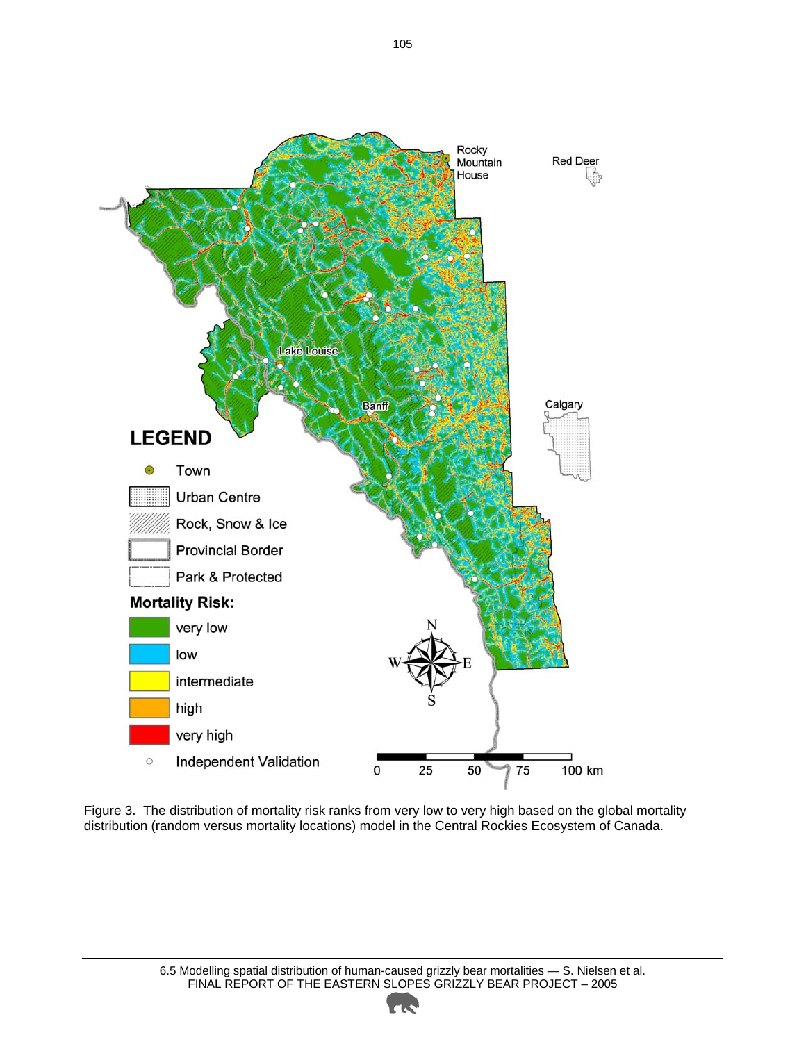

Figure 3. The distribution of mortality risk ranks from very low to very high based on the global mortality distribution (random versus mortality locations) model in the Central Rockies Ecosystem of Canada.

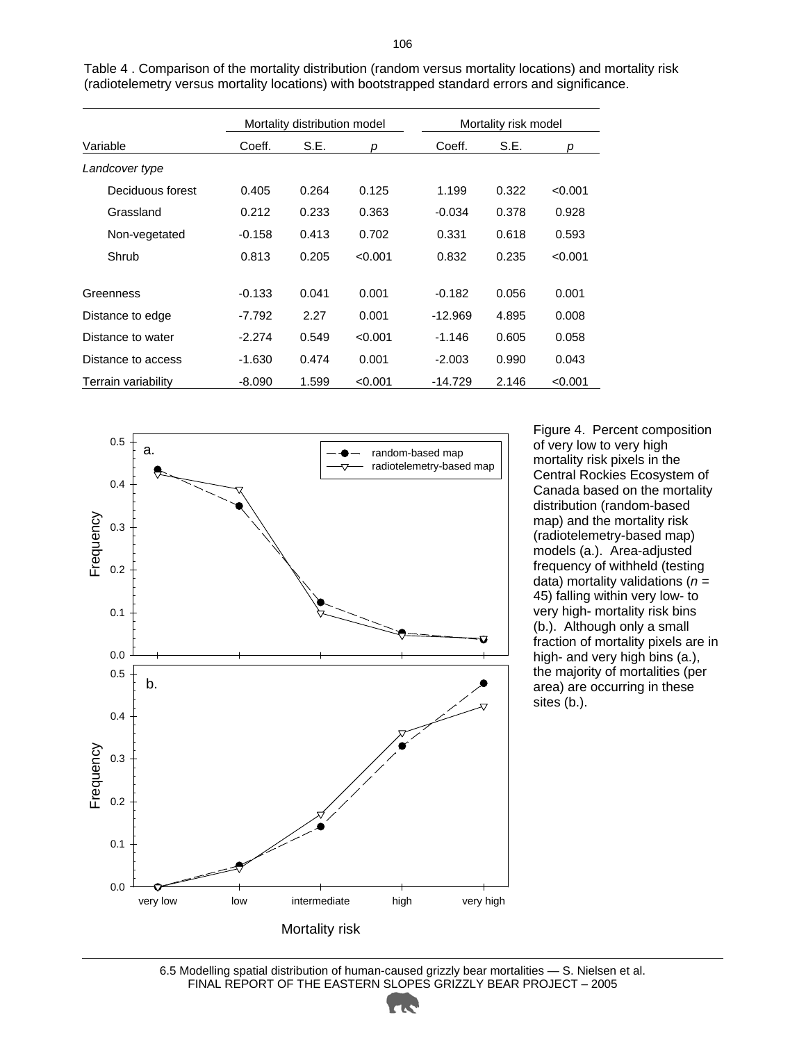|                     |          | Mortality distribution model |         |           | Mortality risk model |         |  |  |  |
|---------------------|----------|------------------------------|---------|-----------|----------------------|---------|--|--|--|
| Variable            | Coeff.   | S.E.                         | р       | Coeff.    | S.E.                 | р       |  |  |  |
| Landcover type      |          |                              |         |           |                      |         |  |  |  |
| Deciduous forest    | 0.405    | 0.264                        | 0.125   | 1.199     | 0.322                | < 0.001 |  |  |  |
| Grassland           | 0.212    | 0.233                        | 0.363   | $-0.034$  | 0.378                | 0.928   |  |  |  |
| Non-vegetated       | $-0.158$ | 0.413                        | 0.702   | 0.331     | 0.618                | 0.593   |  |  |  |
| Shrub               | 0.813    | 0.205                        | < 0.001 | 0.832     | 0.235                | < 0.001 |  |  |  |
| Greenness           | $-0.133$ | 0.041                        | 0.001   | $-0.182$  | 0.056                | 0.001   |  |  |  |
| Distance to edge    | $-7.792$ | 2.27                         | 0.001   | $-12.969$ | 4.895                | 0.008   |  |  |  |
| Distance to water   | $-2.274$ | 0.549                        | < 0.001 | $-1.146$  | 0.605                | 0.058   |  |  |  |
| Distance to access  | $-1.630$ | 0.474                        | 0.001   | $-2.003$  | 0.990                | 0.043   |  |  |  |
| Terrain variability | $-8.090$ | 1.599                        | < 0.001 | $-14.729$ | 2.146                | < 0.001 |  |  |  |

Table 4 . Comparison of the mortality distribution (random versus mortality locations) and mortality risk (radiotelemetry versus mortality locations) with bootstrapped standard errors and significance.



Figure 4. Percent composition of very low to very high mortality risk pixels in the Central Rockies Ecosystem of Canada based on the mortality distribution (random-based map) and the mortality risk (radiotelemetry-based map) models (a.). Area-adjusted frequency of withheld (testing data) mortality validations (*n* = 45) falling within very low- to very high- mortality risk bins (b.). Although only a small fraction of mortality pixels are in high- and very high bins (a.), the majority of mortalities (per area) are occurring in these sites (b.).

6.5 Modelling spatial distribution of human-caused grizzly bear mortalities — S. Nielsen et al. FINAL REPORT OF THE EASTERN SLOPES GRIZZLY BEAR PROJECT – 2005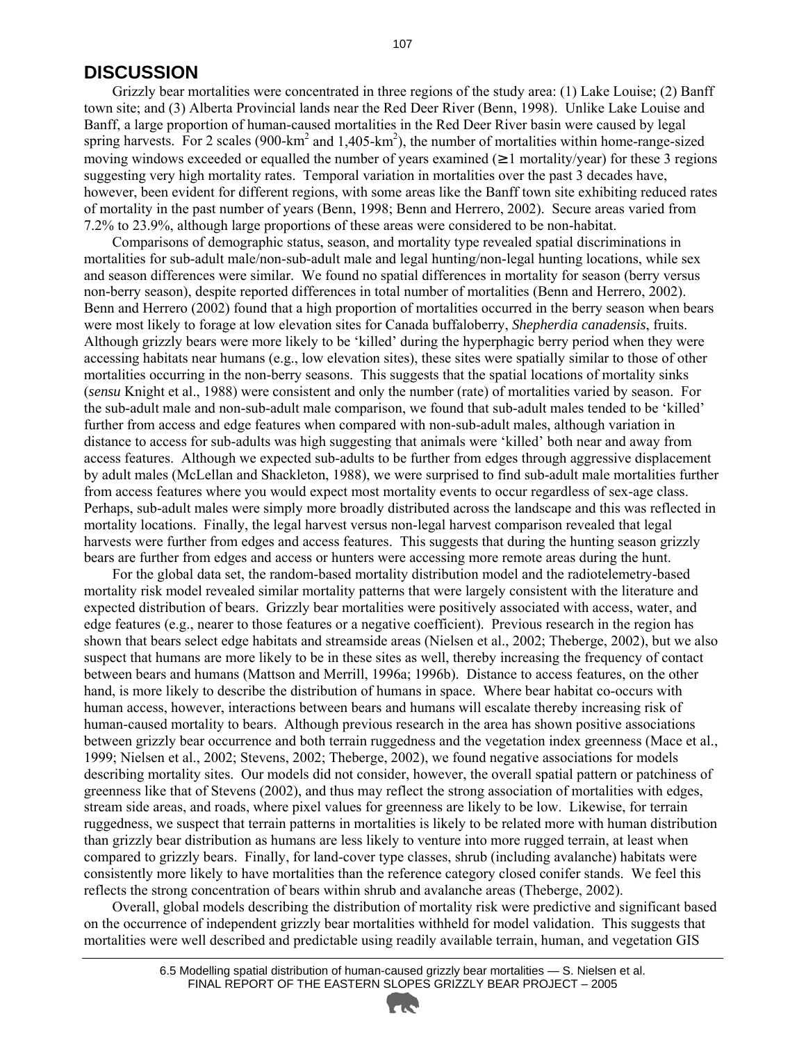### **DISCUSSION**

Grizzly bear mortalities were concentrated in three regions of the study area: (1) Lake Louise; (2) Banff town site; and (3) Alberta Provincial lands near the Red Deer River (Benn, 1998). Unlike Lake Louise and Banff, a large proportion of human-caused mortalities in the Red Deer River basin were caused by legal spring harvests. For 2 scales (900-km<sup>2</sup> and 1,405-km<sup>2</sup>), the number of mortalities within home-range-sized moving windows exceeded or equalled the number of years examined ( $\geq 1$  mortality/year) for these 3 regions suggesting very high mortality rates. Temporal variation in mortalities over the past 3 decades have, however, been evident for different regions, with some areas like the Banff town site exhibiting reduced rates of mortality in the past number of years (Benn, 1998; Benn and Herrero, 2002). Secure areas varied from 7.2% to 23.9%, although large proportions of these areas were considered to be non-habitat.

Comparisons of demographic status, season, and mortality type revealed spatial discriminations in mortalities for sub-adult male/non-sub-adult male and legal hunting/non-legal hunting locations, while sex and season differences were similar. We found no spatial differences in mortality for season (berry versus non-berry season), despite reported differences in total number of mortalities (Benn and Herrero, 2002). Benn and Herrero (2002) found that a high proportion of mortalities occurred in the berry season when bears were most likely to forage at low elevation sites for Canada buffaloberry, *Shepherdia canadensis*, fruits. Although grizzly bears were more likely to be 'killed' during the hyperphagic berry period when they were accessing habitats near humans (e.g., low elevation sites), these sites were spatially similar to those of other mortalities occurring in the non-berry seasons. This suggests that the spatial locations of mortality sinks (*sensu* Knight et al., 1988) were consistent and only the number (rate) of mortalities varied by season. For the sub-adult male and non-sub-adult male comparison, we found that sub-adult males tended to be 'killed' further from access and edge features when compared with non-sub-adult males, although variation in distance to access for sub-adults was high suggesting that animals were 'killed' both near and away from access features. Although we expected sub-adults to be further from edges through aggressive displacement by adult males (McLellan and Shackleton, 1988), we were surprised to find sub-adult male mortalities further from access features where you would expect most mortality events to occur regardless of sex-age class. Perhaps, sub-adult males were simply more broadly distributed across the landscape and this was reflected in mortality locations. Finally, the legal harvest versus non-legal harvest comparison revealed that legal harvests were further from edges and access features. This suggests that during the hunting season grizzly bears are further from edges and access or hunters were accessing more remote areas during the hunt.

For the global data set, the random-based mortality distribution model and the radiotelemetry-based mortality risk model revealed similar mortality patterns that were largely consistent with the literature and expected distribution of bears. Grizzly bear mortalities were positively associated with access, water, and edge features (e.g., nearer to those features or a negative coefficient). Previous research in the region has shown that bears select edge habitats and streamside areas (Nielsen et al., 2002; Theberge, 2002), but we also suspect that humans are more likely to be in these sites as well, thereby increasing the frequency of contact between bears and humans (Mattson and Merrill, 1996a; 1996b). Distance to access features, on the other hand, is more likely to describe the distribution of humans in space. Where bear habitat co-occurs with human access, however, interactions between bears and humans will escalate thereby increasing risk of human-caused mortality to bears. Although previous research in the area has shown positive associations between grizzly bear occurrence and both terrain ruggedness and the vegetation index greenness (Mace et al., 1999; Nielsen et al., 2002; Stevens, 2002; Theberge, 2002), we found negative associations for models describing mortality sites. Our models did not consider, however, the overall spatial pattern or patchiness of greenness like that of Stevens (2002), and thus may reflect the strong association of mortalities with edges, stream side areas, and roads, where pixel values for greenness are likely to be low. Likewise, for terrain ruggedness, we suspect that terrain patterns in mortalities is likely to be related more with human distribution than grizzly bear distribution as humans are less likely to venture into more rugged terrain, at least when compared to grizzly bears. Finally, for land-cover type classes, shrub (including avalanche) habitats were consistently more likely to have mortalities than the reference category closed conifer stands. We feel this reflects the strong concentration of bears within shrub and avalanche areas (Theberge, 2002).

Overall, global models describing the distribution of mortality risk were predictive and significant based on the occurrence of independent grizzly bear mortalities withheld for model validation. This suggests that mortalities were well described and predictable using readily available terrain, human, and vegetation GIS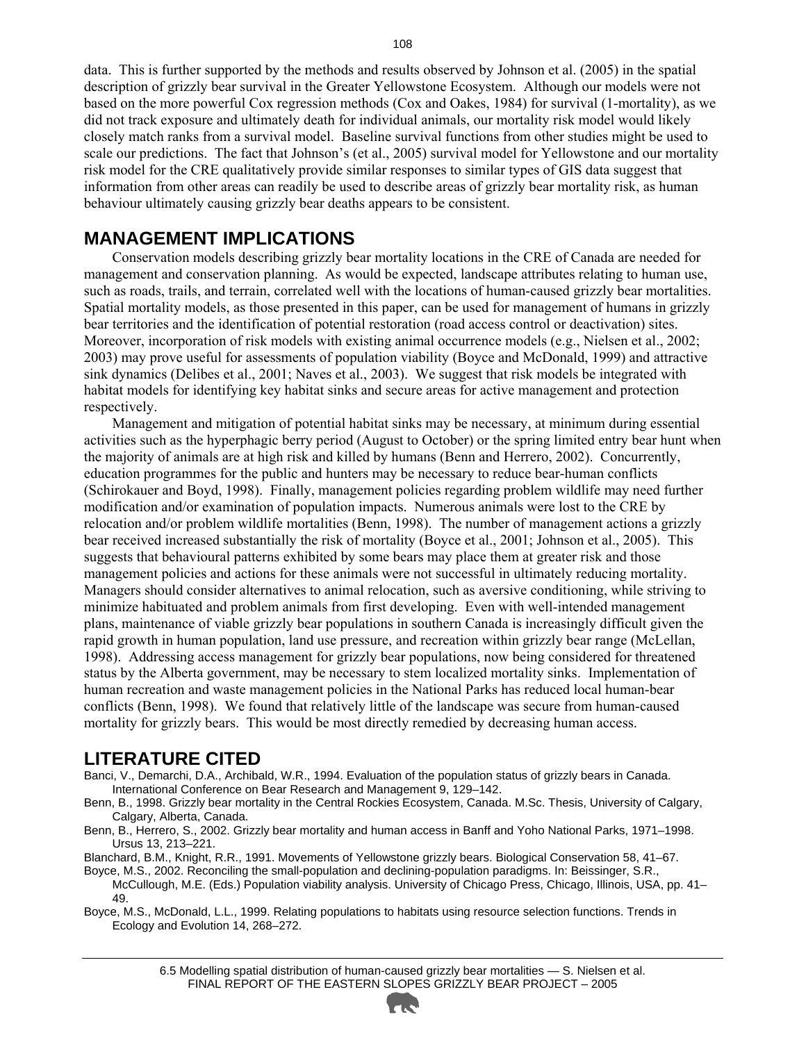data. This is further supported by the methods and results observed by Johnson et al. (2005) in the spatial description of grizzly bear survival in the Greater Yellowstone Ecosystem. Although our models were not based on the more powerful Cox regression methods (Cox and Oakes, 1984) for survival (1-mortality), as we did not track exposure and ultimately death for individual animals, our mortality risk model would likely closely match ranks from a survival model. Baseline survival functions from other studies might be used to scale our predictions. The fact that Johnson's (et al., 2005) survival model for Yellowstone and our mortality risk model for the CRE qualitatively provide similar responses to similar types of GIS data suggest that information from other areas can readily be used to describe areas of grizzly bear mortality risk, as human behaviour ultimately causing grizzly bear deaths appears to be consistent.

# **MANAGEMENT IMPLICATIONS**

Conservation models describing grizzly bear mortality locations in the CRE of Canada are needed for management and conservation planning. As would be expected, landscape attributes relating to human use, such as roads, trails, and terrain, correlated well with the locations of human-caused grizzly bear mortalities. Spatial mortality models, as those presented in this paper, can be used for management of humans in grizzly bear territories and the identification of potential restoration (road access control or deactivation) sites. Moreover, incorporation of risk models with existing animal occurrence models (e.g., Nielsen et al., 2002; 2003) may prove useful for assessments of population viability (Boyce and McDonald, 1999) and attractive sink dynamics (Delibes et al., 2001; Naves et al., 2003). We suggest that risk models be integrated with habitat models for identifying key habitat sinks and secure areas for active management and protection respectively.

Management and mitigation of potential habitat sinks may be necessary, at minimum during essential activities such as the hyperphagic berry period (August to October) or the spring limited entry bear hunt when the majority of animals are at high risk and killed by humans (Benn and Herrero, 2002). Concurrently, education programmes for the public and hunters may be necessary to reduce bear-human conflicts (Schirokauer and Boyd, 1998). Finally, management policies regarding problem wildlife may need further modification and/or examination of population impacts. Numerous animals were lost to the CRE by relocation and/or problem wildlife mortalities (Benn, 1998). The number of management actions a grizzly bear received increased substantially the risk of mortality (Boyce et al., 2001; Johnson et al., 2005). This suggests that behavioural patterns exhibited by some bears may place them at greater risk and those management policies and actions for these animals were not successful in ultimately reducing mortality. Managers should consider alternatives to animal relocation, such as aversive conditioning, while striving to minimize habituated and problem animals from first developing. Even with well-intended management plans, maintenance of viable grizzly bear populations in southern Canada is increasingly difficult given the rapid growth in human population, land use pressure, and recreation within grizzly bear range (McLellan, 1998). Addressing access management for grizzly bear populations, now being considered for threatened status by the Alberta government, may be necessary to stem localized mortality sinks. Implementation of human recreation and waste management policies in the National Parks has reduced local human-bear conflicts (Benn, 1998). We found that relatively little of the landscape was secure from human-caused mortality for grizzly bears. This would be most directly remedied by decreasing human access.

# **LITERATURE CITED**

Banci, V., Demarchi, D.A., Archibald, W.R., 1994. Evaluation of the population status of grizzly bears in Canada. International Conference on Bear Research and Management 9, 129–142.

Benn, B., 1998. Grizzly bear mortality in the Central Rockies Ecosystem, Canada. M.Sc. Thesis, University of Calgary, Calgary, Alberta, Canada.

Benn, B., Herrero, S., 2002. Grizzly bear mortality and human access in Banff and Yoho National Parks, 1971–1998. Ursus 13, 213–221.

Blanchard, B.M., Knight, R.R., 1991. Movements of Yellowstone grizzly bears. Biological Conservation 58, 41–67.

Boyce, M.S., 2002. Reconciling the small-population and declining-population paradigms. In: Beissinger, S.R., McCullough, M.E. (Eds.) Population viability analysis. University of Chicago Press, Chicago, Illinois, USA, pp. 41– 49.

Boyce, M.S., McDonald, L.L., 1999. Relating populations to habitats using resource selection functions. Trends in Ecology and Evolution 14, 268–272.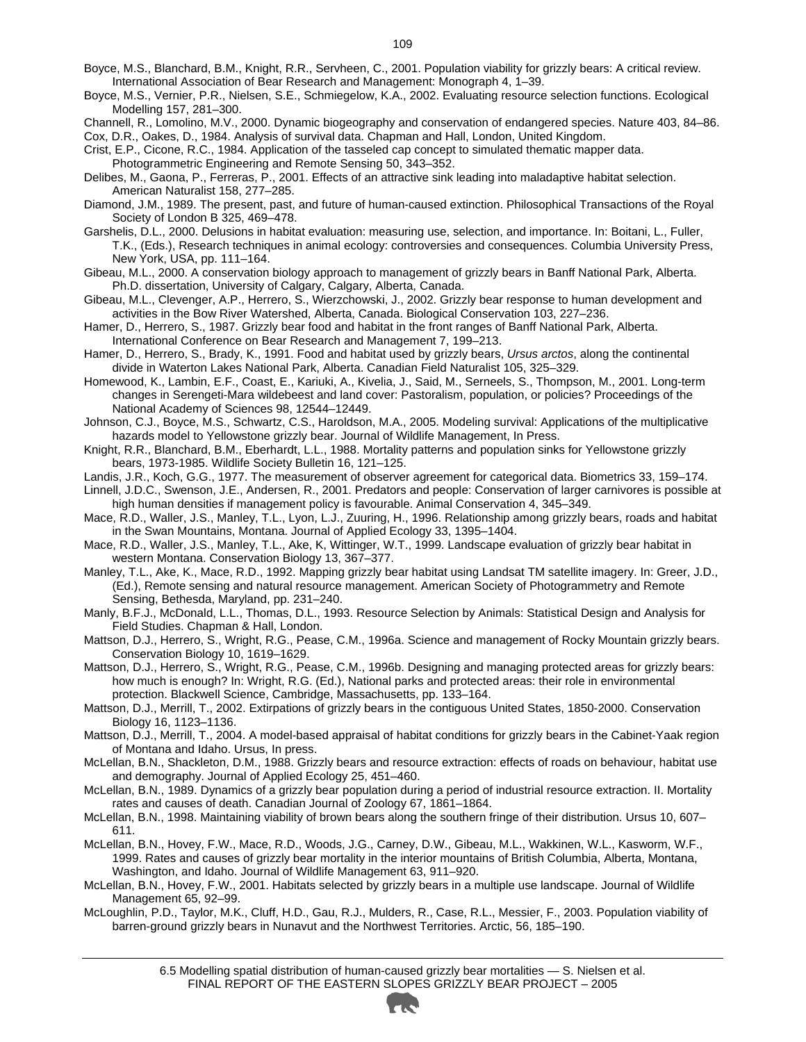- Boyce, M.S., Blanchard, B.M., Knight, R.R., Servheen, C., 2001. Population viability for grizzly bears: A critical review. International Association of Bear Research and Management: Monograph 4, 1–39.
- Boyce, M.S., Vernier, P.R., Nielsen, S.E., Schmiegelow, K.A., 2002. Evaluating resource selection functions. Ecological Modelling 157, 281–300.
- Channell, R., Lomolino, M.V., 2000. Dynamic biogeography and conservation of endangered species. Nature 403, 84–86. Cox, D.R., Oakes, D., 1984. Analysis of survival data. Chapman and Hall, London, United Kingdom.
- Crist, E.P., Cicone, R.C., 1984. Application of the tasseled cap concept to simulated thematic mapper data. Photogrammetric Engineering and Remote Sensing 50, 343–352.
- Delibes, M., Gaona, P., Ferreras, P., 2001. Effects of an attractive sink leading into maladaptive habitat selection. American Naturalist 158, 277–285.
- Diamond, J.M., 1989. The present, past, and future of human-caused extinction. Philosophical Transactions of the Royal Society of London B 325, 469–478.
- Garshelis, D.L., 2000. Delusions in habitat evaluation: measuring use, selection, and importance. In: Boitani, L., Fuller, T.K., (Eds.), Research techniques in animal ecology: controversies and consequences. Columbia University Press, New York, USA, pp. 111–164.
- Gibeau, M.L., 2000. A conservation biology approach to management of grizzly bears in Banff National Park, Alberta. Ph.D. dissertation, University of Calgary, Calgary, Alberta, Canada.
- Gibeau, M.L., Clevenger, A.P., Herrero, S., Wierzchowski, J., 2002. Grizzly bear response to human development and activities in the Bow River Watershed, Alberta, Canada. Biological Conservation 103, 227–236.
- Hamer, D., Herrero, S., 1987. Grizzly bear food and habitat in the front ranges of Banff National Park, Alberta. International Conference on Bear Research and Management 7, 199–213.
- Hamer, D., Herrero, S., Brady, K., 1991. Food and habitat used by grizzly bears, *Ursus arctos*, along the continental divide in Waterton Lakes National Park, Alberta. Canadian Field Naturalist 105, 325–329.
- Homewood, K., Lambin, E.F., Coast, E., Kariuki, A., Kivelia, J., Said, M., Serneels, S., Thompson, M., 2001. Long-term changes in Serengeti-Mara wildebeest and land cover: Pastoralism, population, or policies? Proceedings of the National Academy of Sciences 98, 12544–12449.
- Johnson, C.J., Boyce, M.S., Schwartz, C.S., Haroldson, M.A., 2005. Modeling survival: Applications of the multiplicative hazards model to Yellowstone grizzly bear. Journal of Wildlife Management, In Press.
- Knight, R.R., Blanchard, B.M., Eberhardt, L.L., 1988. Mortality patterns and population sinks for Yellowstone grizzly bears, 1973-1985. Wildlife Society Bulletin 16, 121–125.
- Landis, J.R., Koch, G.G., 1977. The measurement of observer agreement for categorical data. Biometrics 33, 159–174.
- Linnell, J.D.C., Swenson, J.E., Andersen, R., 2001. Predators and people: Conservation of larger carnivores is possible at high human densities if management policy is favourable. Animal Conservation 4, 345–349.
- Mace, R.D., Waller, J.S., Manley, T.L., Lyon, L.J., Zuuring, H., 1996. Relationship among grizzly bears, roads and habitat in the Swan Mountains, Montana. Journal of Applied Ecology 33, 1395–1404.
- Mace, R.D., Waller, J.S., Manley, T.L., Ake, K, Wittinger, W.T., 1999. Landscape evaluation of grizzly bear habitat in western Montana. Conservation Biology 13, 367–377.
- Manley, T.L., Ake, K., Mace, R.D., 1992. Mapping grizzly bear habitat using Landsat TM satellite imagery. In: Greer, J.D., (Ed.), Remote sensing and natural resource management. American Society of Photogrammetry and Remote Sensing, Bethesda, Maryland, pp. 231–240.
- Manly, B.F.J., McDonald, L.L., Thomas, D.L., 1993. Resource Selection by Animals: Statistical Design and Analysis for Field Studies. Chapman & Hall, London.
- Mattson, D.J., Herrero, S., Wright, R.G., Pease, C.M., 1996a. Science and management of Rocky Mountain grizzly bears. Conservation Biology 10, 1619–1629.
- Mattson, D.J., Herrero, S., Wright, R.G., Pease, C.M., 1996b. Designing and managing protected areas for grizzly bears: how much is enough? In: Wright, R.G. (Ed.), National parks and protected areas: their role in environmental protection. Blackwell Science, Cambridge, Massachusetts, pp. 133–164.
- Mattson, D.J., Merrill, T., 2002. Extirpations of grizzly bears in the contiguous United States, 1850-2000. Conservation Biology 16, 1123–1136.
- Mattson, D.J., Merrill, T., 2004. A model-based appraisal of habitat conditions for grizzly bears in the Cabinet-Yaak region of Montana and Idaho. Ursus, In press.
- McLellan, B.N., Shackleton, D.M., 1988. Grizzly bears and resource extraction: effects of roads on behaviour, habitat use and demography. Journal of Applied Ecology 25, 451–460.
- McLellan, B.N., 1989. Dynamics of a grizzly bear population during a period of industrial resource extraction. II. Mortality rates and causes of death. Canadian Journal of Zoology 67, 1861–1864.
- McLellan, B.N., 1998. Maintaining viability of brown bears along the southern fringe of their distribution. Ursus 10, 607– 611.
- McLellan, B.N., Hovey, F.W., Mace, R.D., Woods, J.G., Carney, D.W., Gibeau, M.L., Wakkinen, W.L., Kasworm, W.F., 1999. Rates and causes of grizzly bear mortality in the interior mountains of British Columbia, Alberta, Montana, Washington, and Idaho. Journal of Wildlife Management 63, 911–920.
- McLellan, B.N., Hovey, F.W., 2001. Habitats selected by grizzly bears in a multiple use landscape. Journal of Wildlife Management 65, 92–99.
- McLoughlin, P.D., Taylor, M.K., Cluff, H.D., Gau, R.J., Mulders, R., Case, R.L., Messier, F., 2003. Population viability of barren-ground grizzly bears in Nunavut and the Northwest Territories. Arctic, 56, 185–190.